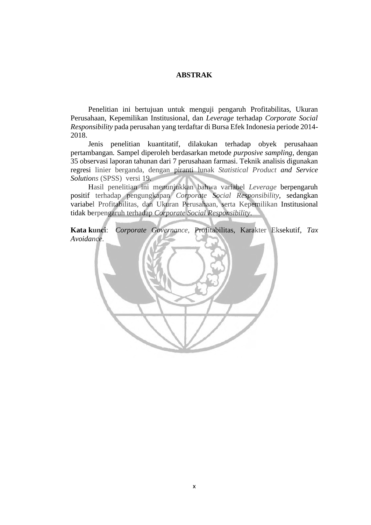## **ABSTRAK**

Penelitian ini bertujuan untuk menguji pengaruh Profitabilitas, Ukuran Perusahaan, Kepemilikan Institusional, dan *Leverage* terhadap *Corporate Social Responsibility* pada perusahan yang terdaftar di Bursa Efek Indonesia periode 2014- 2018.

Jenis penelitian kuantitatif, dilakukan terhadap obyek perusahaan pertambangan*.* Sampel diperoleh berdasarkan metode *purposive sampling*, dengan 35 observasi laporan tahunan dari 7 perusahaan farmasi. Teknik analisis digunakan regresi linier berganda, dengan piranti lunak *Statistical Product and Service Solutions* (SPSS) versi 19.

Hasil penelitian ini menunjukkan bahwa variabel *Leverage* berpengaruh positif terhadap pengungkapan *Corporate Social Responsibility,* sedangkan variabel Profitabilitas, dan Ukuran Perusahaan, serta Kepemilikan Institusional tidak berpengaruh terhadap *Corporate Social Responsibility*.

**Kata kunci**: *Corporate Governance,* Profitabilitas, Karakter Eksekutif, *Tax Avoidance*.